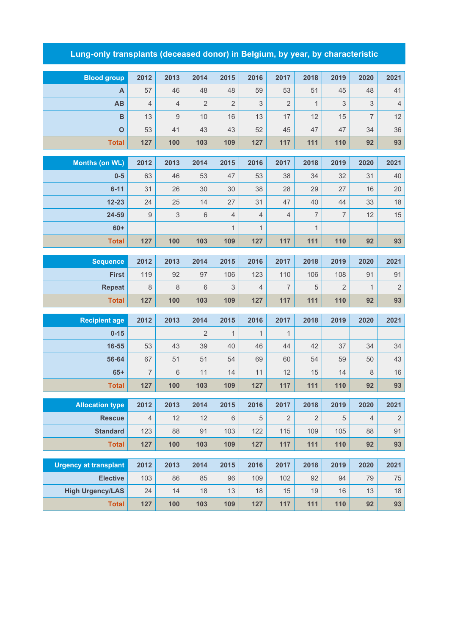## **Lung-only transplants (deceased donor) in Belgium, by year, by characteristic**

| <b>Blood group</b>             | 2012             | 2013           | 2014           | 2015           | 2016           | 2017           | 2018           | 2019           | 2020           | 2021           |
|--------------------------------|------------------|----------------|----------------|----------------|----------------|----------------|----------------|----------------|----------------|----------------|
| A                              | 57               | 46             | 48             | 48             | 59             | 53             | 51             | 45             | 48             | 41             |
| <b>AB</b>                      | $\overline{4}$   | $\overline{4}$ | $\overline{2}$ | $\overline{2}$ | 3              | $\overline{2}$ | $\mathbf{1}$   | 3              | $\mathfrak{Z}$ | $\overline{4}$ |
| $\overline{B}$                 | 13               | $\overline{9}$ | 10             | 16             | 13             | 17             | 12             | 15             | 7              | 12             |
| $\mathbf{o}$                   | 53               | 41             | 43             | 43             | 52             | 45             | 47             | 47             | 34             | 36             |
| <b>Total</b>                   | 127              | 100            | 103            | 109            | 127            | 117            | 111            | 110            | 92             | 93             |
|                                | 2012             | 2013           | 2014           | 2015           | 2016           | 2017           | 2018           | 2019           | 2020           | 2021           |
| <b>Months (on WL)</b><br>$0-5$ | 63               | 46             | 53             | 47             | 53             | 38             | 34             | 32             | 31             | 40             |
| $6 - 11$                       | 31               | 26             | 30             | 30             | 38             | 28             | 29             | 27             | 16             | 20             |
| $12 - 23$                      | 24               | 25             | 14             | 27             | 31             | 47             | 40             | 44             | 33             | 18             |
| 24-59                          | $\boldsymbol{9}$ | $\mathfrak 3$  | $6\phantom{1}$ | $\sqrt{4}$     | 4              | $\overline{4}$ | $\overline{7}$ | $\overline{7}$ | 12             | 15             |
| $60+$                          |                  |                |                | $\mathbf{1}$   | $\mathbf{1}$   |                | $\mathbf{1}$   |                |                |                |
| <b>Total</b>                   | 127              | 100            | 103            | 109            | 127            | 117            | $111$          | 110            | 92             | 93             |
|                                |                  |                |                |                |                |                |                |                |                |                |
| <b>Sequence</b>                | 2012             | 2013           | 2014           | 2015           | 2016           | 2017           | 2018           | 2019           | 2020           | 2021           |
| <b>First</b>                   | 119              | 92             | 97             | 106            | 123            | 110            | 106            | 108            | 91             | 91             |
| <b>Repeat</b>                  | 8                | $\,8\,$        | 6              | 3              | $\overline{4}$ | $\overline{7}$ | 5              | 2              | $\mathbf{1}$   | $\sqrt{2}$     |
| <b>Total</b>                   | 127              | 100            | 103            | 109            | 127            | 117            | $111$          | 110            | 92             | 93             |
| <b>Recipient age</b>           | 2012             | 2013           | 2014           | 2015           | 2016           | 2017           | 2018           | 2019           | 2020           | 2021           |
| $0 - 15$                       |                  |                | $\overline{2}$ | $\mathbf{1}$   | $\mathbf{1}$   | $\mathbf{1}$   |                |                |                |                |
| 16-55                          | 53               | 43             | 39             | 40             | 46             | 44             | 42             | 37             | 34             | 34             |
| 56-64                          | 67               | 51             | 51             | 54             | 69             | 60             | 54             | 59             | 50             | 43             |
| $65+$                          | $\overline{7}$   | 6              | 11             | 14             | 11             | 12             | 15             | 14             | 8              | 16             |
| <b>Total</b>                   | 127              | 100            | 103            | 109            | 127            | 117            | 111            | 110            | 92             | 93             |
| <b>Allocation type</b>         | 2012             | 2013           | 2014           | 2015           | 2016           | 2017           | 2018           | 2019           | 2020           | 2021           |
| <b>Rescue</b>                  | $\overline{4}$   | 12             | 12             | $6\,$          | $\sqrt{5}$     | $\overline{2}$ | $\overline{2}$ | $\sqrt{5}$     | $\overline{4}$ | $\sqrt{2}$     |
| <b>Standard</b>                | 123              | 88             | 91             | 103            | 122            | 115            | 109            | 105            | 88             | 91             |
| <b>Total</b>                   | 127              | 100            | 103            | 109            | 127            | 117            | $111$          | 110            | 92             | 93             |
|                                |                  |                |                |                |                |                |                |                |                |                |
| <b>Urgency at transplant</b>   | 2012             | 2013           | 2014           | 2015           | 2016           | 2017           | 2018           | 2019           | 2020           | 2021           |
| <b>Elective</b>                | 103              | 86             | 85             | 96             | 109            | 102            | 92             | 94             | 79             | $75\,$         |
| <b>High Urgency/LAS</b>        | 24               | 14             | 18             | 13             | 18             | 15             | 19             | 16             | 13             | 18             |
| <b>Total</b>                   | 127              | 100            | 103            | 109            | 127            | 117            | $111$          | 110            | 92             | 93             |